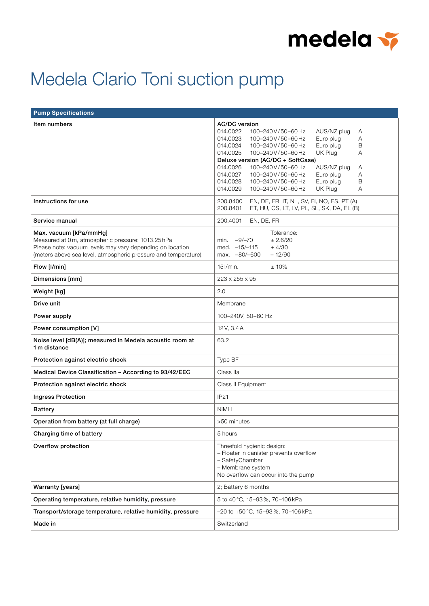

## Medela Clario Toni suction pump

| <b>Pump Specifications</b>                                                                                                                                                                                 |                                                                                                                                                                                                                                                                                                                                                                                                                                                                           |
|------------------------------------------------------------------------------------------------------------------------------------------------------------------------------------------------------------|---------------------------------------------------------------------------------------------------------------------------------------------------------------------------------------------------------------------------------------------------------------------------------------------------------------------------------------------------------------------------------------------------------------------------------------------------------------------------|
| Item numbers                                                                                                                                                                                               | <b>AC/DC</b> version<br>014.0022<br>100-240V/50-60Hz<br>AUS/NZ plug<br>A<br>Euro plug<br>014.0023<br>100-240V/50-60Hz<br>Α<br>014.0024<br>Euro plug<br>B<br>100-240V/50-60Hz<br>UK Plug<br>014.0025<br>100-240V/50-60Hz<br>A<br>Deluxe version (AC/DC + SoftCase)<br>100-240V/50-60Hz<br>014.0026<br>AUS/NZ plug<br>A<br>A<br>014.0027<br>100-240V/50-60Hz<br>Euro plug<br>014.0028<br>Euro plug<br>100-240V/50-60Hz<br>B<br>UK Plug<br>014.0029<br>100-240V/50-60Hz<br>A |
| Instructions for use                                                                                                                                                                                       | 200.8400<br>EN, DE, FR, IT, NL, SV, FI, NO, ES, PT (A)<br>200.8401<br>ET, HU, CS, LT, LV, PL, SL, SK, DA, EL (B)                                                                                                                                                                                                                                                                                                                                                          |
| Service manual                                                                                                                                                                                             | 200.4001<br>EN, DE, FR                                                                                                                                                                                                                                                                                                                                                                                                                                                    |
| Max. vacuum [kPa/mmHg]<br>Measured at 0m, atmospheric pressure: 1013.25hPa<br>Please note: vacuum levels may vary depending on location<br>(meters above sea level, atmospheric pressure and temperature). | Tolerance:<br>min. $-9/-70$<br>± 2.6/20<br>med. -15/-115<br>$±$ 4/30<br>max. -80/-600<br>$-12/90$                                                                                                                                                                                                                                                                                                                                                                         |
| Flow [I/min]                                                                                                                                                                                               | $15$ $l/min.$<br>±10%                                                                                                                                                                                                                                                                                                                                                                                                                                                     |
| Dimensions [mm]                                                                                                                                                                                            | 223 x 255 x 95                                                                                                                                                                                                                                                                                                                                                                                                                                                            |
| Weight [kg]                                                                                                                                                                                                | 2.0                                                                                                                                                                                                                                                                                                                                                                                                                                                                       |
| Drive unit                                                                                                                                                                                                 | Membrane                                                                                                                                                                                                                                                                                                                                                                                                                                                                  |
| Power supply                                                                                                                                                                                               | 100-240V, 50-60 Hz                                                                                                                                                                                                                                                                                                                                                                                                                                                        |
| Power consumption [V]                                                                                                                                                                                      | 12V, 3.4A                                                                                                                                                                                                                                                                                                                                                                                                                                                                 |
| Noise level [dB(A)]; measured in Medela acoustic room at<br>1 m distance                                                                                                                                   | 63.2                                                                                                                                                                                                                                                                                                                                                                                                                                                                      |
| Protection against electric shock                                                                                                                                                                          | Type BF                                                                                                                                                                                                                                                                                                                                                                                                                                                                   |
| Medical Device Classification - According to 93/42/EEC                                                                                                                                                     | Class IIa                                                                                                                                                                                                                                                                                                                                                                                                                                                                 |
| Protection against electric shock                                                                                                                                                                          | Class II Equipment                                                                                                                                                                                                                                                                                                                                                                                                                                                        |
| <b>Ingress Protection</b>                                                                                                                                                                                  | IP21                                                                                                                                                                                                                                                                                                                                                                                                                                                                      |
| <b>Battery</b>                                                                                                                                                                                             | <b>NiMH</b>                                                                                                                                                                                                                                                                                                                                                                                                                                                               |
| Operation from battery (at full charge)                                                                                                                                                                    | >50 minutes                                                                                                                                                                                                                                                                                                                                                                                                                                                               |
| Charging time of battery                                                                                                                                                                                   | 5 hours                                                                                                                                                                                                                                                                                                                                                                                                                                                                   |
| Overflow protection                                                                                                                                                                                        | Threefold hygienic design:<br>- Floater in canister prevents overflow<br>- SafetyChamber<br>- Membrane system<br>No overflow can occur into the pump                                                                                                                                                                                                                                                                                                                      |
| <b>Warranty [years]</b>                                                                                                                                                                                    | 2; Battery 6 months                                                                                                                                                                                                                                                                                                                                                                                                                                                       |
| Operating temperature, relative humidity, pressure                                                                                                                                                         | 5 to 40 °C, 15-93 %, 70-106 kPa                                                                                                                                                                                                                                                                                                                                                                                                                                           |
| Transport/storage temperature, relative humidity, pressure                                                                                                                                                 | $-20$ to $+50$ °C, 15-93%, 70-106 kPa                                                                                                                                                                                                                                                                                                                                                                                                                                     |
| Made in                                                                                                                                                                                                    | Switzerland                                                                                                                                                                                                                                                                                                                                                                                                                                                               |